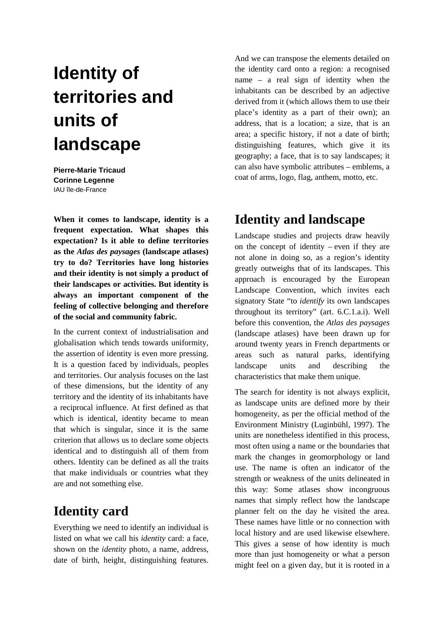# **Identity of territories and units of landscape**

**Pierre-Marie Tricaud Corinne Legenne**  IAU île-de-France

**When it comes to landscape, identity is a frequent expectation. What shapes this expectation? Is it able to define territories as the** *Atlas des paysages* **(landscape atlases) try to do? Territories have long histories and their identity is not simply a product of their landscapes or activities. But identity is always an important component of the feeling of collective belonging and therefore of the social and community fabric.** 

In the current context of industrialisation and globalisation which tends towards uniformity, the assertion of identity is even more pressing. It is a question faced by individuals, peoples and territories. Our analysis focuses on the last of these dimensions, but the identity of any territory and the identity of its inhabitants have a reciprocal influence. At first defined as that which is identical, identity became to mean that which is singular, since it is the same criterion that allows us to declare some objects identical and to distinguish all of them from others. Identity can be defined as all the traits that make individuals or countries what they are and not something else.

## **Identity card**

Everything we need to identify an individual is listed on what we call his *identity* card: a face, shown on the *identity* photo, a name, address, date of birth, height, distinguishing features. And we can transpose the elements detailed on the identity card onto a region: a recognised name – a real sign of identity when the inhabitants can be described by an adjective derived from it (which allows them to use their place's identity as a part of their own); an address, that is a location; a size, that is an area; a specific history, if not a date of birth; distinguishing features, which give it its geography; a face, that is to say landscapes; it can also have symbolic attributes – emblems, a coat of arms, logo, flag, anthem, motto, etc.

## **Identity and landscape**

Landscape studies and projects draw heavily on the concept of identity – even if they are not alone in doing so, as a region's identity greatly outweighs that of its landscapes. This approach is encouraged by the European Landscape Convention, which invites each signatory State "to *identify* its own landscapes throughout its territory" (art. 6.C.1.a.i). Well before this convention, the *Atlas des paysages*  (landscape atlases) have been drawn up for around twenty years in French departments or areas such as natural parks, identifying landscape units and describing the characteristics that make them unique.

The search for identity is not always explicit, as landscape units are defined more by their homogeneity, as per the official method of the Environment Ministry (Luginbühl, 1997). The units are nonetheless identified in this process, most often using a name or the boundaries that mark the changes in geomorphology or land use. The name is often an indicator of the strength or weakness of the units delineated in this way: Some atlases show incongruous names that simply reflect how the landscape planner felt on the day he visited the area. These names have little or no connection with local history and are used likewise elsewhere. This gives a sense of how identity is much more than just homogeneity or what a person might feel on a given day, but it is rooted in a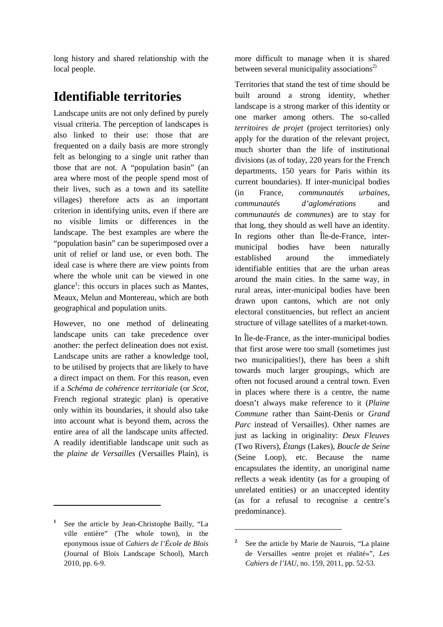long history and shared relationship with the local people.

# **Identifiable territories**

Landscape units are not only defined by purely visual criteria. The perception of landscapes is also linked to their use: those that are frequented on a daily basis are more strongly felt as belonging to a single unit rather than those that are not. A "population basin" (an area where most of the people spend most of their lives, such as a town and its satellite villages) therefore acts as an important criterion in identifying units, even if there are no visible limits or differences in the landscape. The best examples are where the "population basin" can be superimposed over a unit of relief or land use, or even both. The ideal case is where there are view points from where the whole unit can be viewed in one glance<sup>1</sup>: this occurs in places such as Mantes, Meaux, Melun and Montereau, which are both geographical and population units.

However, no one method of delineating landscape units can take precedence over another: the perfect delineation does not exist. Landscape units are rather a knowledge tool, to be utilised by projects that are likely to have a direct impact on them. For this reason, even if a *Schéma de cohérence territoriale* (or *Scot*, French regional strategic plan) is operative only within its boundaries, it should also take into account what is beyond them, across the entire area of all the landscape units affected. A readily identifiable landscape unit such as the *plaine de Versailles* (Versailles Plain), is

 $\overline{a}$ 

more difficult to manage when it is shared between several municipality associations<sup>2)</sup>

Territories that stand the test of time should be built around a strong identity, whether landscape is a strong marker of this identity or one marker among others. The so-called *territoires de projet* (project territories) only apply for the duration of the relevant project, much shorter than the life of institutional divisions (as of today, 220 years for the French departments, 150 years for Paris within its current boundaries). If inter-municipal bodies (in France, *communautés urbaines*, *communautés d'aglomérations* and *communautés de communes*) are to stay for that long, they should as well have an identity. In regions other than Île-de-France, intermunicipal bodies have been naturally established around the immediately identifiable entities that are the urban areas around the main cities. In the same way, in rural areas, inter-municipal bodies have been drawn upon cantons, which are not only electoral constituencies, but reflect an ancient structure of village satellites of a market-town.

In Île-de-France, as the inter-municipal bodies that first arose were too small (sometimes just two municipalities!), there has been a shift towards much larger groupings, which are often not focused around a central town. Even in places where there is a centre, the name doesn't always make reference to it (*Plaine Commune* rather than Saint-Denis or *Grand Parc* instead of Versailles). Other names are just as lacking in originality: *Deux Fleuves*  (Two Rivers), *Étangs* (Lakes), *Boucle de Seine* (Seine Loop), etc. Because the name encapsulates the identity, an unoriginal name reflects a weak identity (as for a grouping of unrelated entities) or an unaccepted identity (as for a refusal to recognise a centre's predominance).

 $\overline{a}$ 

**<sup>1</sup>** See the article by Jean-Christophe Bailly, "La ville entière" (The whole town), in the eponymous issue of *Cahiers de l'École de Blois* (Journal of Blois Landscape School), March 2010, pp. 6-9.

<sup>&</sup>lt;sup>2</sup> See the article by Marie de Naurois, "La plaine de Versailles «entre projet et réalité»", *Les Cahiers de l'IAU*, no. 159, 2011, pp. 52-53.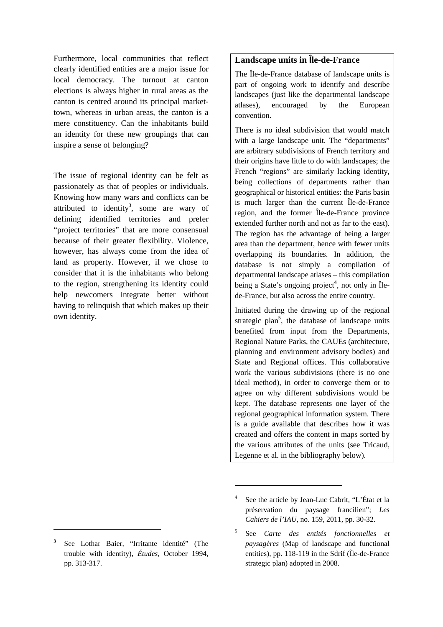Furthermore, local communities that reflect clearly identified entities are a major issue for local democracy. The turnout at canton elections is always higher in rural areas as the canton is centred around its principal markettown, whereas in urban areas, the canton is a mere constituency. Can the inhabitants build an identity for these new groupings that can inspire a sense of belonging?

The issue of regional identity can be felt as passionately as that of peoples or individuals. Knowing how many wars and conflicts can be attributed to identity<sup>3</sup>, some are wary of defining identified territories and prefer "project territories" that are more consensual because of their greater flexibility. Violence, however, has always come from the idea of land as property. However, if we chose to consider that it is the inhabitants who belong to the region, strengthening its identity could help newcomers integrate better without having to relinquish that which makes up their own identity.

 $\overline{a}$ 

### **Landscape units in Île-de-France**

The Île-de-France database of landscape units is part of ongoing work to identify and describe landscapes (just like the departmental landscape atlases), encouraged by the European convention.

There is no ideal subdivision that would match with a large landscape unit. The "departments" are arbitrary subdivisions of French territory and their origins have little to do with landscapes; the French "regions" are similarly lacking identity, being collections of departments rather than geographical or historical entities: the Paris basin is much larger than the current Île-de-France region, and the former Île-de-France province extended further north and not as far to the east). The region has the advantage of being a larger area than the department, hence with fewer units overlapping its boundaries. In addition, the database is not simply a compilation of departmental landscape atlases – this compilation being a State's ongoing project<sup>4</sup>, not only in Îlede-France, but also across the entire country.

Initiated during the drawing up of the regional strategic plan<sup>5</sup>, the database of landscape units benefited from input from the Departments, Regional Nature Parks, the CAUEs (architecture, planning and environment advisory bodies) and State and Regional offices. This collaborative work the various subdivisions (there is no one ideal method), in order to converge them or to agree on why different subdivisions would be kept. The database represents one layer of the regional geographical information system. There is a guide available that describes how it was created and offers the content in maps sorted by the various attributes of the units (see Tricaud, Legenne et al. in the bibliography below).

 $\overline{a}$ 

**<sup>3</sup>** See Lothar Baier, "Irritante identité" (The trouble with identity), *Études*, October 1994, pp. 313-317.

<sup>4</sup> See the article by Jean-Luc Cabrit, "L'État et la préservation du paysage francilien"; *Les Cahiers de l'IAU*, no. 159, 2011, pp. 30-32.

<sup>5</sup> See *Carte des entités fonctionnelles et paysagères* (Map of landscape and functional entities), pp. 118-119 in the Sdrif (Île-de-France strategic plan) adopted in 2008.